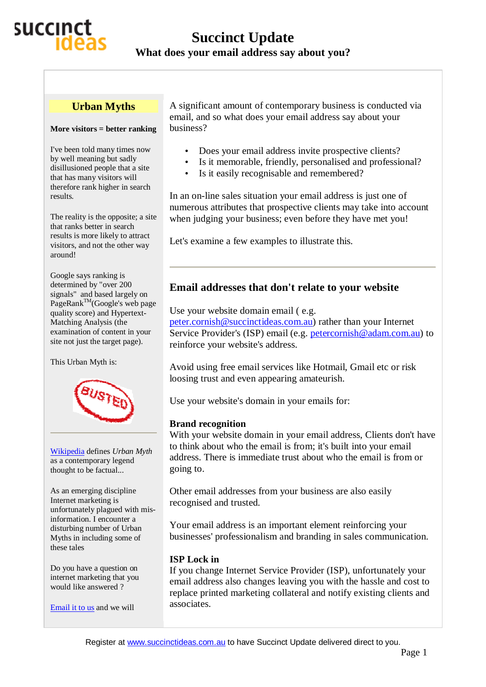

#### **Urban Myths**

#### **More visitors = better ranking**

I've been told many times now by well meaning but sadly disillusioned people that a site that has many visitors will therefore rank higher in search results.

The reality is the opposite; a site that ranks better in search results is more likely to attract visitors, and not the other way around!

Google says ranking is determined by "over 200 signals" and based largely on PageRank<sup>TM</sup>(Google's web page quality score) and Hypertext-Matching Analysis (the examination of content in your site not just the target page).

This Urban Myth is:



Wikipedia defines *Urban Myth* as a contemporary legend thought to be factual...

As an emerging discipline Internet marketing is unfortunately plagued with misinformation. I encounter a disturbing number of Urban Myths in including some of these tales

Do you have a question on internet marketing that you would like answered ?

Email it to us and we will

A significant amount of contemporary business is conducted via email, and so what does your email address say about your business?

- Does your email address invite prospective clients?
- Is it memorable, friendly, personalised and professional?
- Is it easily recognisable and remembered?

In an on-line sales situation your email address is just one of numerous attributes that prospective clients may take into account when judging your business; even before they have met you!

Let's examine a few examples to illustrate this.

## **Email addresses that don't relate to your website**

Use your website domain email (e.g. [peter.cornish@succinctideas.com.au\)](mailto:peter.cornish@succinctideas.com.au) rather than your Internet Service Provider's (ISP) email (e.g. [petercornish@adam.com.au](mailto:petercornish@adam.com.au)) to reinforce your website's address.

Avoid using free email services like Hotmail, Gmail etc or risk loosing trust and even appearing amateurish.

Use your website's domain in your emails for:

### **Brand recognition**

With your website domain in your email address, Clients don't have to think about who the email is from; it's built into your email address. There is immediate trust about who the email is from or going to.

Other email addresses from your business are also easily recognised and trusted.

Your email address is an important element reinforcing your businesses' professionalism and branding in sales communication.

### **ISP Lock in**

If you change Internet Service Provider (ISP), unfortunately your email address also changes leaving you with the hassle and cost to replace printed marketing collateral and notify existing clients and associates.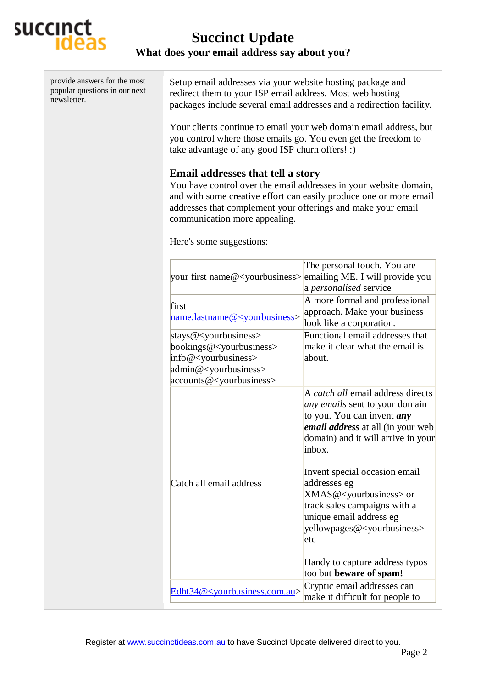

| provide answers for the most<br>popular questions in our next<br>newsletter. | Setup email addresses via your website hosting package and<br>redirect them to your ISP email address. Most web hosting<br>packages include several email addresses and a redirection facility.                                                                                      |                                                                                                                                                                                                             |
|------------------------------------------------------------------------------|--------------------------------------------------------------------------------------------------------------------------------------------------------------------------------------------------------------------------------------------------------------------------------------|-------------------------------------------------------------------------------------------------------------------------------------------------------------------------------------------------------------|
|                                                                              | Your clients continue to email your web domain email address, but<br>you control where those emails go. You even get the freedom to<br>take advantage of any good ISP churn offers! :)                                                                                               |                                                                                                                                                                                                             |
|                                                                              | <b>Email addresses that tell a story</b><br>You have control over the email addresses in your website domain,<br>and with some creative effort can easily produce one or more email<br>addresses that complement your offerings and make your email<br>communication more appealing. |                                                                                                                                                                                                             |
|                                                                              | Here's some suggestions:                                                                                                                                                                                                                                                             |                                                                                                                                                                                                             |
|                                                                              | your first name@ <yourbusiness> emailing ME. I will provide you</yourbusiness>                                                                                                                                                                                                       | The personal touch. You are<br>a personalised service                                                                                                                                                       |
|                                                                              | first<br>name.lastname@ <yourbusiness></yourbusiness>                                                                                                                                                                                                                                | A more formal and professional<br>approach. Make your business<br>look like a corporation.                                                                                                                  |
|                                                                              | stays@ <yourbusiness><br/>bookings@<yourbusiness><br/>info@<yourbusiness><br/>admin@<yourbusiness><br/>accounts@<yourbusiness></yourbusiness></yourbusiness></yourbusiness></yourbusiness></yourbusiness>                                                                            | Functional email addresses that<br>make it clear what the email is<br>about.                                                                                                                                |
|                                                                              |                                                                                                                                                                                                                                                                                      | A <i>catch all</i> email address directs<br>any emails sent to your domain<br>to you. You can invent <i>any</i><br><i>email address</i> at all (in your web<br>domain) and it will arrive in your<br>inbox. |
|                                                                              | Catch all email address                                                                                                                                                                                                                                                              | Invent special occasion email<br>addresses eg<br>XMAS@ <yourbusiness> or<br/>track sales campaigns with a<br/>unique email address eg<br/>yellowpages@<yourbusiness><br/>etc</yourbusiness></yourbusiness>  |
|                                                                              |                                                                                                                                                                                                                                                                                      | Handy to capture address typos<br>too but beware of spam!                                                                                                                                                   |
|                                                                              | Edht34@ <yourbusiness.com.au></yourbusiness.com.au>                                                                                                                                                                                                                                  | Cryptic email addresses can<br>make it difficult for people to                                                                                                                                              |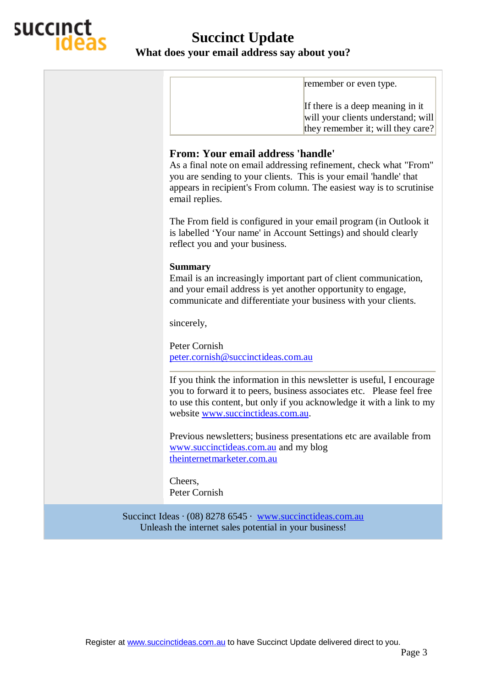

# **Succinct Update What does your email address say about you?**

|                                                            | remember or even type.                                                                                                                                                                                                                                                       |  |
|------------------------------------------------------------|------------------------------------------------------------------------------------------------------------------------------------------------------------------------------------------------------------------------------------------------------------------------------|--|
|                                                            | If there is a deep meaning in it<br>will your clients understand; will<br>they remember it; will they care?                                                                                                                                                                  |  |
|                                                            | <b>From: Your email address 'handle'</b><br>As a final note on email addressing refinement, check what "From"<br>you are sending to your clients. This is your email 'handle' that<br>appears in recipient's From column. The easiest way is to scrutinise<br>email replies. |  |
|                                                            | The From field is configured in your email program (in Outlook it<br>is labelled 'Your name' in Account Settings) and should clearly<br>reflect you and your business.                                                                                                       |  |
|                                                            | <b>Summary</b><br>Email is an increasingly important part of client communication,<br>and your email address is yet another opportunity to engage,<br>communicate and differentiate your business with your clients.                                                         |  |
|                                                            | sincerely,                                                                                                                                                                                                                                                                   |  |
|                                                            | Peter Cornish<br>peter.cornish@succinctideas.com.au                                                                                                                                                                                                                          |  |
|                                                            | If you think the information in this newsletter is useful, I encourage<br>you to forward it to peers, business associates etc. Please feel free<br>to use this content, but only if you acknowledge it with a link to my<br>website www.succinctideas.com.au.                |  |
|                                                            | Previous newsletters; business presentations etc are available from<br>www.succinctideas.com.au and my blog<br>theinternetmarketer.com.au                                                                                                                                    |  |
|                                                            | Cheers,<br>Peter Cornish                                                                                                                                                                                                                                                     |  |
| Succinct Ideas · (08) 8278 6545 · www.succinctideas.com.au |                                                                                                                                                                                                                                                                              |  |

Unleash the internet sales potential in your business!